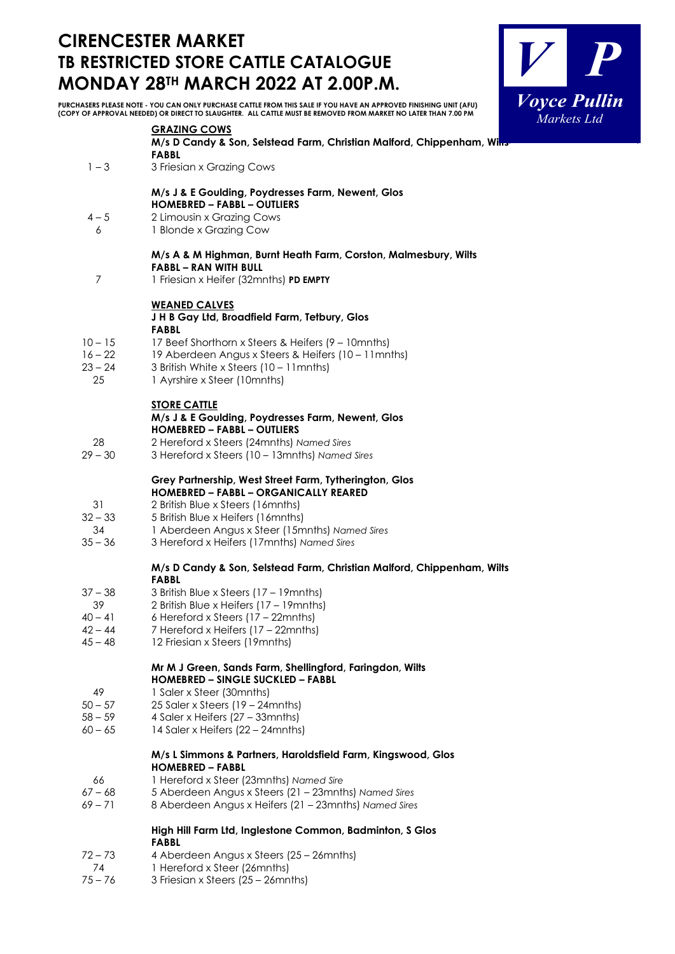# **CIRENCESTER MARKET TB RESTRICTED STORE CATTLE CATALOGUE**



**MONDAY 28TH MARCH 2022 AT 2.00P.M. PURCHASERS PLEASE NOTE - YOU CAN ONLY PURCHASE CATTLE FROM THIS SALE IF YOU HAVE AN APPROVED FINISHING UNIT (AFU) (COPY OF APPROVAL NEEDED) OR DIRECT TO SLAUGHTER. ALL CATTLE MUST BE REMOVED FROM MARKET NO LATER THAN 7.00 PM GRAZING COWS M/s D Candy & Son, Selstead Farm, Christian Malford, Chippenham, Win FABBL** 1-3 3 Friesian x Grazing Cows **M/s J & E Goulding, Poydresses Farm, Newent, Glos HOMEBRED – FABBL – OUTLIERS**  4 – 5 2 Limousin x Grazing Cows 6 1 Blonde x Grazing Cow **M/s A & M Highman, Burnt Heath Farm, Corston, Malmesbury, Wilts FABBL – RAN WITH BULL**  7 1 Friesian x Heifer (32mnths) **PD EMPTY WEANED CALVES J H B Gay Ltd, Broadfield Farm, Tetbury, Glos FABBL**  10 – 15 17 Beef Shorthorn x Steers & Heifers (9 – 10mnths)<br>16 – 22 19 Aberdeen Angus x Steers & Heifers (10 – 11mn 16 – 22 19 Aberdeen Angus x Steers & Heifers (10 – 11mnths)<br>23 – 24 3 British White x Steers (10 – 11mnths) 3 British White x Steers  $(10 - 11)$  mnths) 25 1 Ayrshire x Steer (10mnths) **STORE CATTLE M/s J & E Goulding, Poydresses Farm, Newent, Glos**

# **HOMEBRED – FABBL – OUTLIERS**

- 28 2 Hereford x Steers (24mnths) *Named Sires*
- 29 30 3 Hereford x Steers (10 13mnths) *Named Sires*

#### **Grey Partnership, West Street Farm, Tytherington, Glos HOMEBRED – FABBL – ORGANICALLY REARED**

- 31 2 British Blue x Steers (16mnths)
- 32 33 5 British Blue x Heifers (16mnths)
- 34 1 Aberdeen Angus x Steer (15mnths) *Named Sires*
- 35 36 3 Hereford x Heifers (17mnths) *Named Sires*

#### **M/s D Candy & Son, Selstead Farm, Christian Malford, Chippenham, Wilts FABBL**

- 37 38 3 British Blue x Steers (17 19mnths)
- 2 British Blue x Heifers (17 19mnths)
- $40 41$  6 Hereford x Steers (17 22mnths)
- 42 44 7 Hereford x Heifers (17 22mnths)
- 45 48 12 Friesian x Steers (19mnths)

#### **Mr M J Green, Sands Farm, Shellingford, Faringdon, Wilts HOMEBRED – SINGLE SUCKLED – FABBL**

- 49 1 Saler x Steer (30mnths)
- 50 57 25 Saler x Steers (19 24mnths)
- 58 59 4 Saler x Heifers (27 33mnths)
- 60 65 14 Saler x Heifers (22 24mnths)

## **M/s L Simmons & Partners, Haroldsfield Farm, Kingswood, Glos HOMEBRED – FABBL**

- 66 1 Hereford x Steer (23mnths) *Named Sire*
- 67 68 5 Aberdeen Angus x Steers (21 23mnths) *Named Sires*
- 69 71 8 Aberdeen Angus x Heifers (21 23mnths) *Named Sires*

## **High Hill Farm Ltd, Inglestone Common, Badminton, S Glos FABBL**

- 72 73 4 Aberdeen Angus x Steers (25 26mnths)
- 74 1 Hereford x Steer (26mnths)
- 75 76 3 Friesian x Steers (25 26mnths)